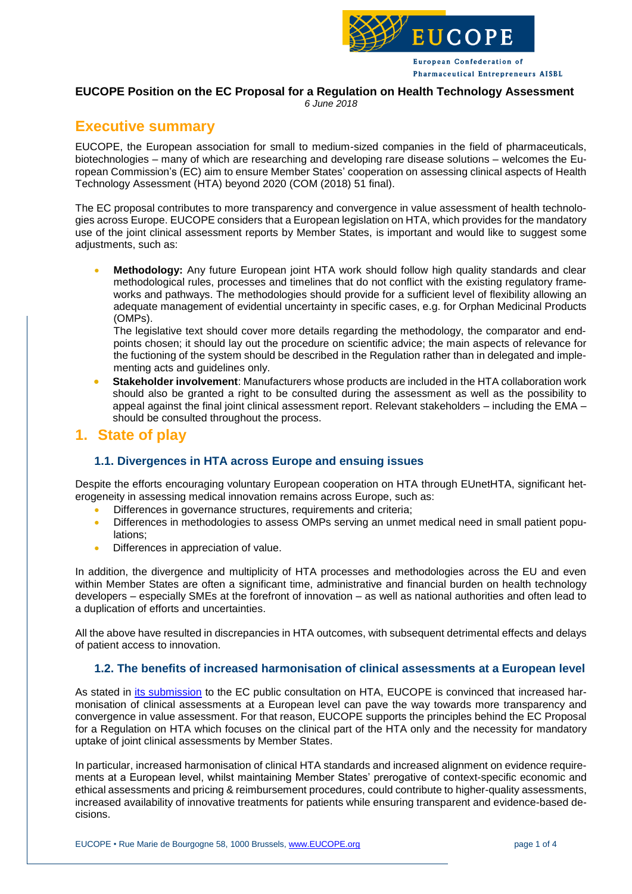

## **EUCOPE Position on the EC Proposal for a Regulation on Health Technology Assessment**

*6 June 2018*

# **Executive summary**

EUCOPE, the European association for small to medium-sized companies in the field of pharmaceuticals, biotechnologies – many of which are researching and developing rare disease solutions – welcomes the European Commission's (EC) aim to ensure Member States' cooperation on assessing clinical aspects of Health Technology Assessment (HTA) beyond 2020 (COM (2018) 51 final).

The EC proposal contributes to more transparency and convergence in value assessment of health technologies across Europe. EUCOPE considers that a European legislation on HTA, which provides for the mandatory use of the joint clinical assessment reports by Member States, is important and would like to suggest some adjustments, such as:

• **Methodology:** Any future European joint HTA work should follow high quality standards and clear methodological rules, processes and timelines that do not conflict with the existing regulatory frameworks and pathways. The methodologies should provide for a sufficient level of flexibility allowing an adequate management of evidential uncertainty in specific cases, e.g. for Orphan Medicinal Products (OMPs).

The legislative text should cover more details regarding the methodology, the comparator and endpoints chosen; it should lay out the procedure on scientific advice; the main aspects of relevance for the fuctioning of the system should be described in the Regulation rather than in delegated and implementing acts and guidelines only.

• **Stakeholder involvement**: Manufacturers whose products are included in the HTA collaboration work should also be granted a right to be consulted during the assessment as well as the possibility to appeal against the final joint clinical assessment report. Relevant stakeholders – including the EMA – should be consulted throughout the process.

# **1. State of play**

### **1.1. Divergences in HTA across Europe and ensuing issues**

Despite the efforts encouraging voluntary European cooperation on HTA through EUnetHTA, significant heterogeneity in assessing medical innovation remains across Europe, such as:

- Differences in governance structures, requirements and criteria;
- Differences in methodologies to assess OMPs serving an unmet medical need in small patient populations;
- Differences in appreciation of value.

In addition, the divergence and multiplicity of HTA processes and methodologies across the EU and even within Member States are often a significant time, administrative and financial burden on health technology developers – especially SMEs at the forefront of innovation – as well as national authorities and often lead to a duplication of efforts and uncertainties.

All the above have resulted in discrepancies in HTA outcomes, with subsequent detrimental effects and delays of patient access to innovation.

### **1.2. The benefits of increased harmonisation of clinical assessments at a European level**

As stated in [its submission](http://www.eucope.org/en/files/2018/05/EUCOPE-Submission_The-Future-of-EU-Cooperation-on-HTA_final_13-Jan-2017.pdf) to the EC public consultation on HTA, EUCOPE is convinced that increased harmonisation of clinical assessments at a European level can pave the way towards more transparency and convergence in value assessment. For that reason, EUCOPE supports the principles behind the EC Proposal for a Regulation on HTA which focuses on the clinical part of the HTA only and the necessity for mandatory uptake of joint clinical assessments by Member States.

In particular, increased harmonisation of clinical HTA standards and increased alignment on evidence requirements at a European level, whilst maintaining Member States' prerogative of context-specific economic and ethical assessments and pricing & reimbursement procedures, could contribute to higher-quality assessments, increased availability of innovative treatments for patients while ensuring transparent and evidence-based decisions.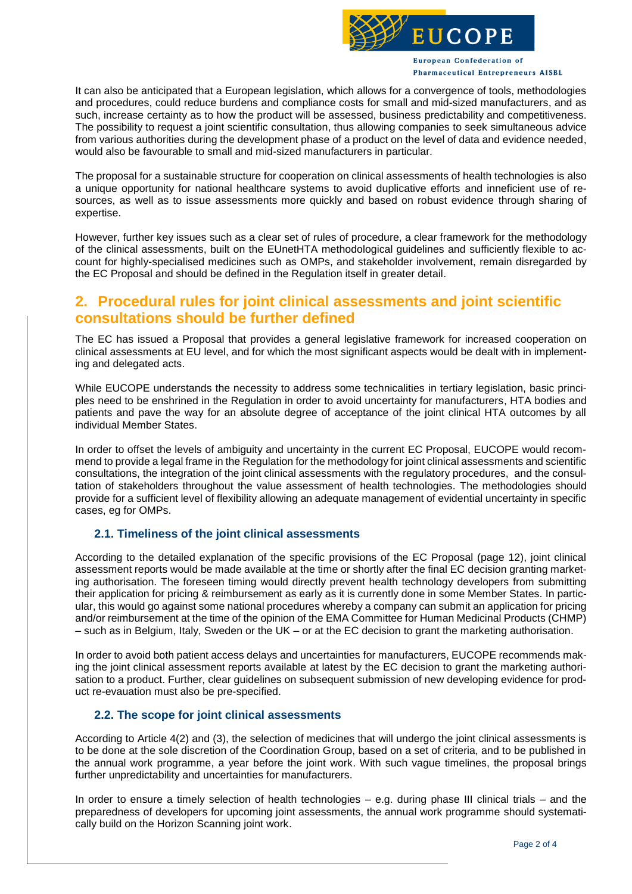

**Pharmaceutical Entrepreneurs AISBL** 

It can also be anticipated that a European legislation, which allows for a convergence of tools, methodologies and procedures, could reduce burdens and compliance costs for small and mid-sized manufacturers, and as such, increase certainty as to how the product will be assessed, business predictability and competitiveness. The possibility to request a joint scientific consultation, thus allowing companies to seek simultaneous advice from various authorities during the development phase of a product on the level of data and evidence needed, would also be favourable to small and mid-sized manufacturers in particular.

The proposal for a sustainable structure for cooperation on clinical assessments of health technologies is also a unique opportunity for national healthcare systems to avoid duplicative efforts and inneficient use of resources, as well as to issue assessments more quickly and based on robust evidence through sharing of expertise.

However, further key issues such as a clear set of rules of procedure, a clear framework for the methodology of the clinical assessments, built on the EUnetHTA methodological guidelines and sufficiently flexible to account for highly-specialised medicines such as OMPs, and stakeholder involvement, remain disregarded by the EC Proposal and should be defined in the Regulation itself in greater detail.

## **2. Procedural rules for joint clinical assessments and joint scientific consultations should be further defined**

The EC has issued a Proposal that provides a general legislative framework for increased cooperation on clinical assessments at EU level, and for which the most significant aspects would be dealt with in implementing and delegated acts.

While EUCOPE understands the necessity to address some technicalities in tertiary legislation, basic principles need to be enshrined in the Regulation in order to avoid uncertainty for manufacturers, HTA bodies and patients and pave the way for an absolute degree of acceptance of the joint clinical HTA outcomes by all individual Member States.

In order to offset the levels of ambiguity and uncertainty in the current EC Proposal, EUCOPE would recommend to provide a legal frame in the Regulation for the methodology for joint clinical assessments and scientific consultations, the integration of the joint clinical assessments with the regulatory procedures, and the consultation of stakeholders throughout the value assessment of health technologies. The methodologies should provide for a sufficient level of flexibility allowing an adequate management of evidential uncertainty in specific cases, eg for OMPs.

#### **2.1. Timeliness of the joint clinical assessments**

According to the detailed explanation of the specific provisions of the EC Proposal (page 12), joint clinical assessment reports would be made available at the time or shortly after the final EC decision granting marketing authorisation. The foreseen timing would directly prevent health technology developers from submitting their application for pricing & reimbursement as early as it is currently done in some Member States. In particular, this would go against some national procedures whereby a company can submit an application for pricing and/or reimbursement at the time of the opinion of the EMA Committee for Human Medicinal Products (CHMP) – such as in Belgium, Italy, Sweden or the UK – or at the EC decision to grant the marketing authorisation.

In order to avoid both patient access delays and uncertainties for manufacturers, EUCOPE recommends making the joint clinical assessment reports available at latest by the EC decision to grant the marketing authorisation to a product. Further, clear guidelines on subsequent submission of new developing evidence for product re-evauation must also be pre-specified.

#### **2.2. The scope for joint clinical assessments**

According to Article 4(2) and (3), the selection of medicines that will undergo the joint clinical assessments is to be done at the sole discretion of the Coordination Group, based on a set of criteria, and to be published in the annual work programme, a year before the joint work. With such vague timelines, the proposal brings further unpredictability and uncertainties for manufacturers.

In order to ensure a timely selection of health technologies – e.g. during phase III clinical trials – and the preparedness of developers for upcoming joint assessments, the annual work programme should systematically build on the Horizon Scanning joint work.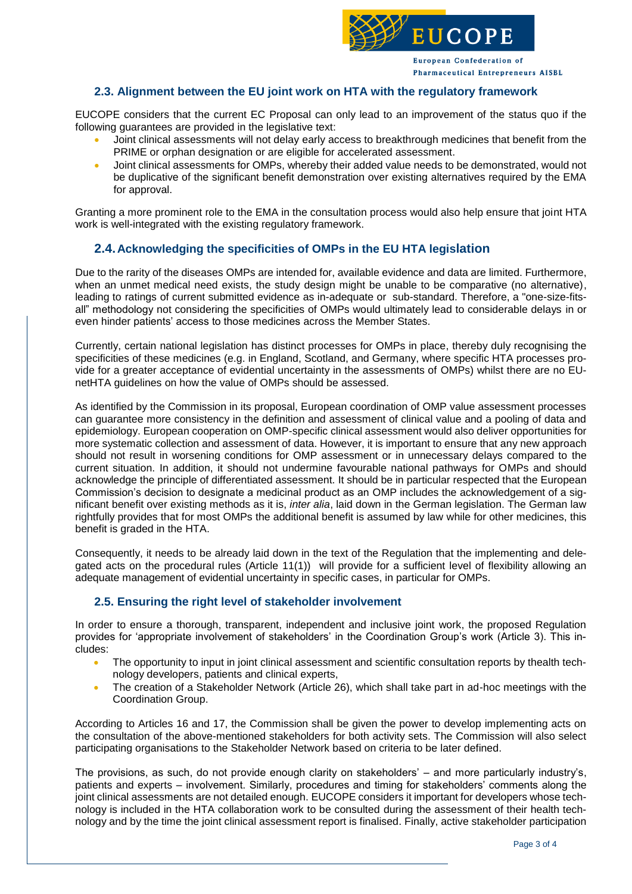

#### **2.3. Alignment between the EU joint work on HTA with the regulatory framework**

EUCOPE considers that the current EC Proposal can only lead to an improvement of the status quo if the following guarantees are provided in the legislative text:

- Joint clinical assessments will not delay early access to breakthrough medicines that benefit from the PRIME or orphan designation or are eligible for accelerated assessment.
- Joint clinical assessments for OMPs, whereby their added value needs to be demonstrated, would not be duplicative of the significant benefit demonstration over existing alternatives required by the EMA for approval.

Granting a more prominent role to the EMA in the consultation process would also help ensure that joint HTA work is well-integrated with the existing regulatory framework.

#### **2.4.Acknowledging the specificities of OMPs in the EU HTA legislation**

Due to the rarity of the diseases OMPs are intended for, available evidence and data are limited. Furthermore, when an unmet medical need exists, the study design might be unable to be comparative (no alternative), leading to ratings of current submitted evidence as in-adequate or sub-standard. Therefore, a "one-size-fitsall" methodology not considering the specificities of OMPs would ultimately lead to considerable delays in or even hinder patients' access to those medicines across the Member States.

Currently, certain national legislation has distinct processes for OMPs in place, thereby duly recognising the specificities of these medicines (e.g. in England, Scotland, and Germany, where specific HTA processes provide for a greater acceptance of evidential uncertainty in the assessments of OMPs) whilst there are no EUnetHTA guidelines on how the value of OMPs should be assessed.

As identified by the Commission in its proposal, European coordination of OMP value assessment processes can guarantee more consistency in the definition and assessment of clinical value and a pooling of data and epidemiology. European cooperation on OMP-specific clinical assessment would also deliver opportunities for more systematic collection and assessment of data. However, it is important to ensure that any new approach should not result in worsening conditions for OMP assessment or in unnecessary delays compared to the current situation. In addition, it should not undermine favourable national pathways for OMPs and should acknowledge the principle of differentiated assessment. It should be in particular respected that the European Commission's decision to designate a medicinal product as an OMP includes the acknowledgement of a significant benefit over existing methods as it is, *inter alia*, laid down in the German legislation. The German law rightfully provides that for most OMPs the additional benefit is assumed by law while for other medicines, this benefit is graded in the HTA.

Consequently, it needs to be already laid down in the text of the Regulation that the implementing and delegated acts on the procedural rules (Article 11(1)) will provide for a sufficient level of flexibility allowing an adequate management of evidential uncertainty in specific cases, in particular for OMPs.

#### **2.5. Ensuring the right level of stakeholder involvement**

In order to ensure a thorough, transparent, independent and inclusive joint work, the proposed Regulation provides for 'appropriate involvement of stakeholders' in the Coordination Group's work (Article 3). This includes:

- The opportunity to input in joint clinical assessment and scientific consultation reports by thealth technology developers, patients and clinical experts,
- The creation of a Stakeholder Network (Article 26), which shall take part in ad-hoc meetings with the Coordination Group.

According to Articles 16 and 17, the Commission shall be given the power to develop implementing acts on the consultation of the above-mentioned stakeholders for both activity sets. The Commission will also select participating organisations to the Stakeholder Network based on criteria to be later defined.

The provisions, as such, do not provide enough clarity on stakeholders' – and more particularly industry's, patients and experts – involvement. Similarly, procedures and timing for stakeholders' comments along the joint clinical assessments are not detailed enough. EUCOPE considers it important for developers whose technology is included in the HTA collaboration work to be consulted during the assessment of their health technology and by the time the joint clinical assessment report is finalised. Finally, active stakeholder participation